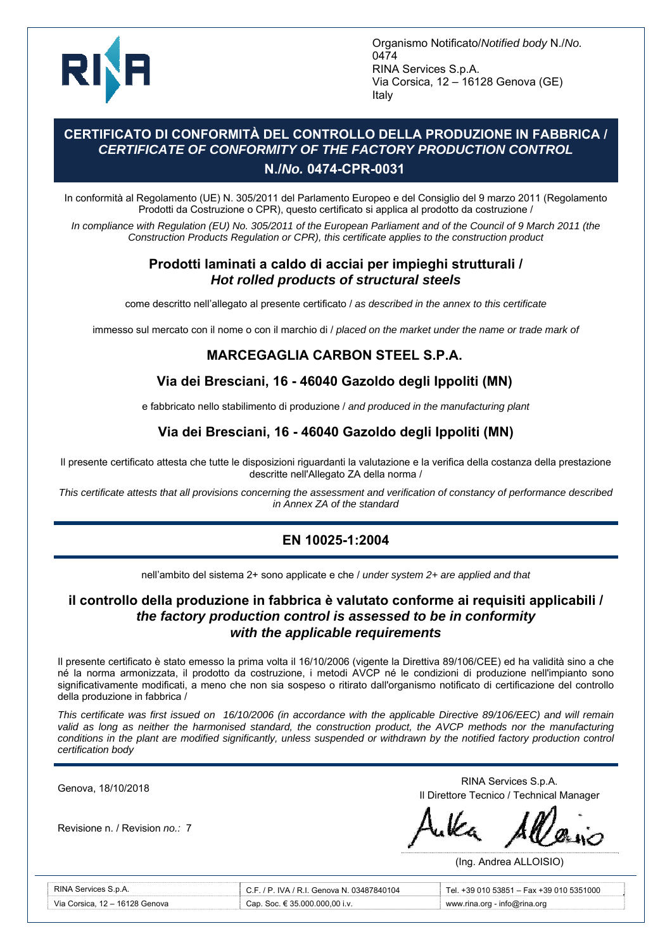

Organismo Notificato/*Notified body* N./*No.* 0474 RINA Services S.p.A. Via Corsica, 12 – 16128 Genova (GE) Italy

### **CERTIFICATO DI CONFORMITÀ DEL CONTROLLO DELLA PRODUZIONE IN FABBRICA /**  *CERTIFICATE OF CONFORMITY OF THE FACTORY PRODUCTION CONTROL*  **N./***No.* **0474-CPR-0031**

In conformità al Regolamento (UE) N. 305/2011 del Parlamento Europeo e del Consiglio del 9 marzo 2011 (Regolamento Prodotti da Costruzione o CPR), questo certificato si applica al prodotto da costruzione /

*In compliance with Regulation (EU) No. 305/2011 of the European Parliament and of the Council of 9 March 2011 (the Construction Products Regulation or CPR), this certificate applies to the construction product* 

#### **Prodotti laminati a caldo di acciai per impieghi strutturali /**  *Hot rolled products of structural steels*

come descritto nell'allegato al presente certificato / *as described in the annex to this certificate*

immesso sul mercato con il nome o con il marchio di / *placed on the market under the name or trade mark of*

#### **MARCEGAGLIA CARBON STEEL S.P.A.**

## **Via dei Bresciani, 16 - 46040 Gazoldo degli Ippoliti (MN)**

e fabbricato nello stabilimento di produzione / *and produced in the manufacturing plant*

## **Via dei Bresciani, 16 - 46040 Gazoldo degli Ippoliti (MN)**

Il presente certificato attesta che tutte le disposizioni riguardanti la valutazione e la verifica della costanza della prestazione descritte nell'Allegato ZA della norma /

*This certificate attests that all provisions concerning the assessment and verification of constancy of performance described in Annex ZA of the standard*

## **EN 10025-1:2004**

nell'ambito del sistema 2+ sono applicate e che / *under system 2+ are applied and that*

#### **il controllo della produzione in fabbrica è valutato conforme ai requisiti applicabili /**  *the factory production control is assessed to be in conformity with the applicable requirements*

Il presente certificato è stato emesso la prima volta il 16/10/2006 (vigente la Direttiva 89/106/CEE) ed ha validità sino a che né la norma armonizzata, il prodotto da costruzione, i metodi AVCP né le condizioni di produzione nell'impianto sono significativamente modificati, a meno che non sia sospeso o ritirato dall'organismo notificato di certificazione del controllo della produzione in fabbrica /

*This certificate was first issued on 16/10/2006 (in accordance with the applicable Directive 89/106/EEC) and will remain*  valid as long as neither the harmonised standard, the construction product, the AVCP methods nor the manufacturing conditions in the plant are modified significantly, unless suspended or withdrawn by the notified factory production control *certification body* 

Ī

Revisione n. / Revision *no.:* 7

Genova, 18/10/2018<br>
RINA Services S.p.A. Il Direttore Tecnico / Technical Manager

(Ing. Andrea ALLOISIO)

| RINA Services S.p.A.           | C.F. / P. IVA / R.I. Genova N. 03487840104 | Tel. +39 010 53851 - Fax +39 010 5351000 |
|--------------------------------|--------------------------------------------|------------------------------------------|
| Via Corsica. 12 – 16128 Genova | Cap. Soc. € 35.000.000.00 i.v.             | www.rina.org - info@rina.org             |